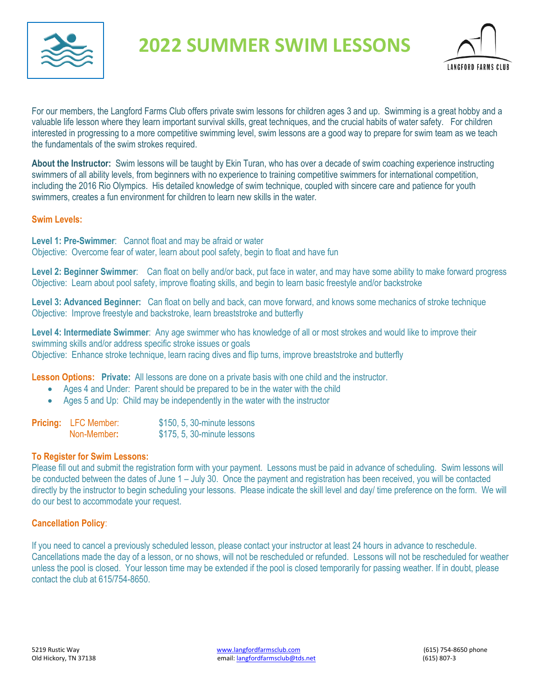

# **2022 SUMMER SWIM LESSONS**



For our members, the Langford Farms Club offers private swim lessons for children ages 3 and up. Swimming is a great hobby and a valuable life lesson where they learn important survival skills, great techniques, and the crucial habits of water safety. For children interested in progressing to a more competitive swimming level, swim lessons are a good way to prepare for swim team as we teach the fundamentals of the swim strokes required.

**About the Instructor:** Swim lessons will be taught by Ekin Turan, who has over a decade of swim coaching experience instructing swimmers of all ability levels, from beginners with no experience to training competitive swimmers for international competition, including the 2016 Rio Olympics. His detailed knowledge of swim technique, coupled with sincere care and patience for youth swimmers, creates a fun environment for children to learn new skills in the water.

# **Swim Levels:**

**Level 1: Pre-Swimmer**: Cannot float and may be afraid or water Objective: Overcome fear of water, learn about pool safety, begin to float and have fun

**Level 2: Beginner Swimmer**: Can float on belly and/or back, put face in water, and may have some ability to make forward progress Objective: Learn about pool safety, improve floating skills, and begin to learn basic freestyle and/or backstroke

**Level 3: Advanced Beginner:** Can float on belly and back, can move forward, and knows some mechanics of stroke technique Objective: Improve freestyle and backstroke, learn breaststroke and butterfly

**Level 4: Intermediate Swimmer**: Any age swimmer who has knowledge of all or most strokes and would like to improve their swimming skills and/or address specific stroke issues or goals Objective: Enhance stroke technique, learn racing dives and flip turns, improve breaststroke and butterfly

**Lesson Options: Private:** All lessons are done on a private basis with one child and the instructor.

- Ages 4 and Under: Parent should be prepared to be in the water with the child
- Ages 5 and Up: Child may be independently in the water with the instructor

| <b>Pricing:</b> LFC Member: | \$150, 5, 30-minute lessons |
|-----------------------------|-----------------------------|
| Non-Member:                 | \$175, 5, 30-minute lessons |

## **To Register for Swim Lessons:**

Please fill out and submit the registration form with your payment. Lessons must be paid in advance of scheduling. Swim lessons will be conducted between the dates of June 1 – July 30. Once the payment and registration has been received, you will be contacted directly by the instructor to begin scheduling your lessons. Please indicate the skill level and day/ time preference on the form. We will do our best to accommodate your request.

## **Cancellation Policy**:

If you need to cancel a previously scheduled lesson, please contact your instructor at least 24 hours in advance to reschedule. Cancellations made the day of a lesson, or no shows, will not be rescheduled or refunded. Lessons will not be rescheduled for weather unless the pool is closed. Your lesson time may be extended if the pool is closed temporarily for passing weather. If in doubt, please contact the club at 615/754-8650.